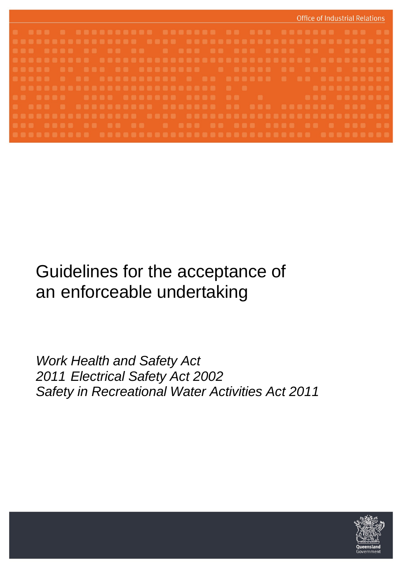

# Guidelines for the acceptance of an enforceable undertaking

*Work Health and Safety Act 2011 Electrical Safety Act 2002 Safety in Recreational Water Activities Act 2011*

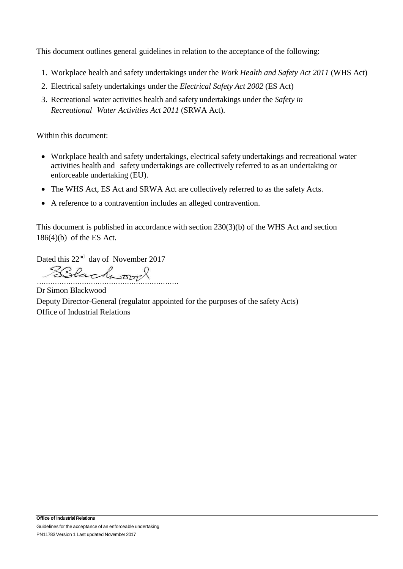This document outlines general guidelines in relation to the acceptance of the following:

- 1. Workplace health and safety undertakings under the *Work Health and Safety Act 2011* (WHS Act)
- 2. Electrical safety undertakings under the *Electrical Safety Act 2002* (ES Act)
- 3. Recreational water activities health and safety undertakings under the *Safety in Recreational Water Activities Act 2011* (SRWA Act).

Within this document:

- Workplace health and safety undertakings, electrical safety undertakings and recreational water activities health and safety undertakings are collectively referred to as an undertaking or enforceable undertaking (EU).
- The WHS Act, ES Act and SRWA Act are collectively referred to as the safety Acts.
- A reference to a contravention includes an alleged contravention.

This document is published in accordance with section 230(3)(b) of the WHS Act and section 186(4)(b) of the ES Act.

Dated this 22<sup>nd</sup> day of November 2017

………………………………………………………

Dr Simon Blackwood Deputy Director-General (regulator appointed for the purposes of the safety Acts) Office of Industrial Relations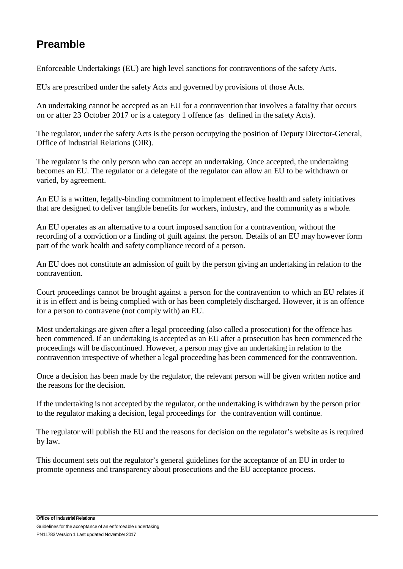# **Preamble**

Enforceable Undertakings (EU) are high level sanctions for contraventions of the safety Acts.

EUs are prescribed under the safety Acts and governed by provisions of those Acts.

An undertaking cannot be accepted as an EU for a contravention that involves a fatality that occurs on or after 23 October 2017 or is a category 1 offence (as defined in the safety Acts).

The regulator, under the safety Acts is the person occupying the position of Deputy Director-General, Office of Industrial Relations (OIR).

The regulator is the only person who can accept an undertaking. Once accepted, the undertaking becomes an EU. The regulator or a delegate of the regulator can allow an EU to be withdrawn or varied, by agreement.

An EU is a written, legally-binding commitment to implement effective health and safety initiatives that are designed to deliver tangible benefits for workers, industry, and the community as a whole.

An EU operates as an alternative to a court imposed sanction for a contravention, without the recording of a conviction or a finding of guilt against the person. Details of an EU may however form part of the work health and safety compliance record of a person.

An EU does not constitute an admission of guilt by the person giving an undertaking in relation to the contravention.

Court proceedings cannot be brought against a person for the contravention to which an EU relates if it is in effect and is being complied with or has been completely discharged. However, it is an offence for a person to contravene (not comply with) an EU.

Most undertakings are given after a legal proceeding (also called a prosecution) for the offence has been commenced. If an undertaking is accepted as an EU after a prosecution has been commenced the proceedings will be discontinued. However, a person may give an undertaking in relation to the contravention irrespective of whether a legal proceeding has been commenced for the contravention.

Once a decision has been made by the regulator, the relevant person will be given written notice and the reasons for the decision.

If the undertaking is not accepted by the regulator, or the undertaking is withdrawn by the person prior to the regulator making a decision, legal proceedings for the contravention will continue.

The regulator will publish the EU and the reasons for decision on the regulator's website as is required by law.

This document sets out the regulator's general guidelines for the acceptance of an EU in order to promote openness and transparency about prosecutions and the EU acceptance process.

**Office of IndustrialRelations** Guidelines for the acceptance of an enforceable undertaking PN11783 Version 1 Last updated November 2017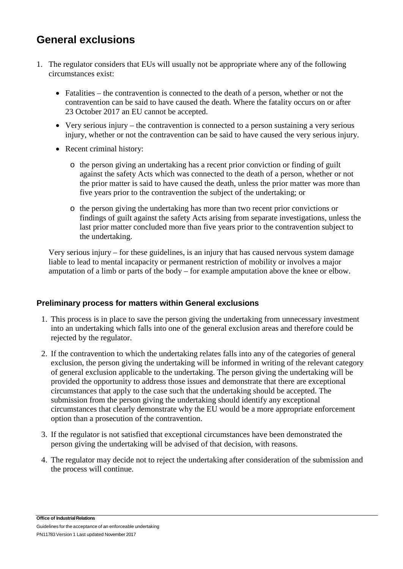## **General exclusions**

- 1. The regulator considers that EUs will usually not be appropriate where any of the following circumstances exist:
	- Fatalities the contravention is connected to the death of a person, whether or not the contravention can be said to have caused the death. Where the fatality occurs on or after 23 October 2017 an EU cannot be accepted.
	- Very serious injury the contravention is connected to a person sustaining a very serious injury, whether or not the contravention can be said to have caused the very serious injury.
	- Recent criminal history:
		- o the person giving an undertaking has a recent prior conviction or finding of guilt against the safety Acts which was connected to the death of a person, whether or not the prior matter is said to have caused the death, unless the prior matter was more than five years prior to the contravention the subject of the undertaking; or
		- o the person giving the undertaking has more than two recent prior convictions or findings of guilt against the safety Acts arising from separate investigations, unless the last prior matter concluded more than five years prior to the contravention subject to the undertaking.

Very serious injury – for these guidelines, is an injury that has caused nervous system damage liable to lead to mental incapacity or permanent restriction of mobility or involves a major amputation of a limb or parts of the body – for example amputation above the knee or elbow.

## **Preliminary process for matters within General exclusions**

- 1. This process is in place to save the person giving the undertaking from unnecessary investment into an undertaking which falls into one of the general exclusion areas and therefore could be rejected by the regulator.
- 2. If the contravention to which the undertaking relates falls into any of the categories of general exclusion, the person giving the undertaking will be informed in writing of the relevant category of general exclusion applicable to the undertaking. The person giving the undertaking will be provided the opportunity to address those issues and demonstrate that there are exceptional circumstances that apply to the case such that the undertaking should be accepted. The submission from the person giving the undertaking should identify any exceptional circumstances that clearly demonstrate why the EU would be a more appropriate enforcement option than a prosecution of the contravention.
- 3. If the regulator is not satisfied that exceptional circumstances have been demonstrated the person giving the undertaking will be advised of that decision, with reasons.
- 4. The regulator may decide not to reject the undertaking after consideration of the submission and the process will continue.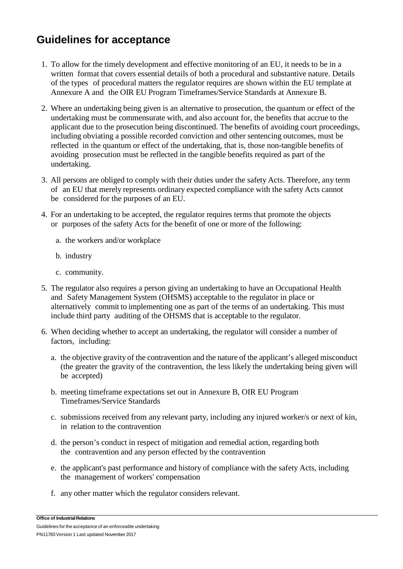# **Guidelines for acceptance**

- 1. To allow for the timely development and effective monitoring of an EU, it needs to be in a written format that covers essential details of both a procedural and substantive nature. Details of the types of procedural matters the regulator requires are shown within the EU template at Annexure A and the OIR EU Program Timeframes/Service Standards at Annexure B.
- 2. Where an undertaking being given is an alternative to prosecution, the quantum or effect of the undertaking must be commensurate with, and also account for, the benefits that accrue to the applicant due to the prosecution being discontinued. The benefits of avoiding court proceedings, including obviating a possible recorded conviction and other sentencing outcomes, must be reflected in the quantum or effect of the undertaking, that is, those non-tangible benefits of avoiding prosecution must be reflected in the tangible benefits required as part of the undertaking.
- 3. All persons are obliged to comply with their duties under the safety Acts. Therefore, any term of an EU that merely represents ordinary expected compliance with the safety Acts cannot be considered for the purposes of an EU.
- 4. For an undertaking to be accepted, the regulator requires terms that promote the objects or purposes of the safety Acts for the benefit of one or more of the following:
	- a. the workers and/or workplace
	- b. industry
	- c. community.
- 5. The regulator also requires a person giving an undertaking to have an Occupational Health and Safety Management System (OHSMS) acceptable to the regulator in place or alternatively commit to implementing one as part of the terms of an undertaking. This must include third party auditing of the OHSMS that is acceptable to the regulator.
- 6. When deciding whether to accept an undertaking, the regulator will consider a number of factors, including:
	- a. the objective gravity of the contravention and the nature of the applicant's alleged misconduct (the greater the gravity of the contravention, the less likely the undertaking being given will be accepted)
	- b. meeting timeframe expectations set out in Annexure B, OIR EU Program Timeframes/Service Standards
	- c. submissions received from any relevant party, including any injured worker/s or next of kin, in relation to the contravention
	- d. the person's conduct in respect of mitigation and remedial action, regarding both the contravention and any person effected by the contravention
	- e. the applicant's past performance and history of compliance with the safety Acts, including the management of workers' compensation
	- f. any other matter which the regulator considers relevant.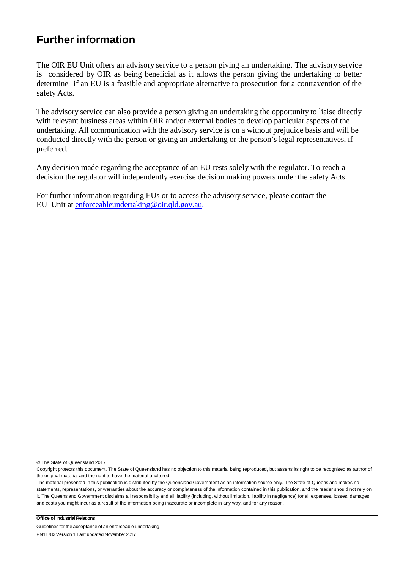## **Further information**

The OIR EU Unit offers an advisory service to a person giving an undertaking. The advisory service is considered by OIR as being beneficial as it allows the person giving the undertaking to better determine if an EU is a feasible and appropriate alternative to prosecution for a contravention of the safety Acts.

The advisory service can also provide a person giving an undertaking the opportunity to liaise directly with relevant business areas within OIR and/or external bodies to develop particular aspects of the undertaking. All communication with the advisory service is on a without prejudice basis and will be conducted directly with the person or giving an undertaking or the person's legal representatives, if preferred.

Any decision made regarding the acceptance of an EU rests solely with the regulator. To reach a decision the regulator will independently exercise decision making powers under the safety Acts.

For further information regarding EUs or to access the advisory service, please contact the EU Unit at [enforceableundertaking@oir.qld.gov.au.](mailto:enforceableundertaking@justice.qld.gov.au)

© The State of Queensland 2017

The material presented in this publication is distributed by the Queensland Government as an information source only. The State of Queensland makes no statements, representations, or warranties about the accuracy or completeness of the information contained in this publication, and the reader should not rely on it. The Queensland Government disclaims all responsibility and all liability (including, without limitation, liability in negligence) for all expenses, losses, damages and costs you might incur as a result of the information being inaccurate or incomplete in any way, and for any reason.

#### **Office of Industrial Relations**

Guidelines for the acceptance of an enforceable undertaking PN11783 Version 1 Last updated November 2017

Copyright protects this document. The State of Queensland has no objection to this material being reproduced, but asserts its right to be recognised as author of the original material and the right to have the material unaltered.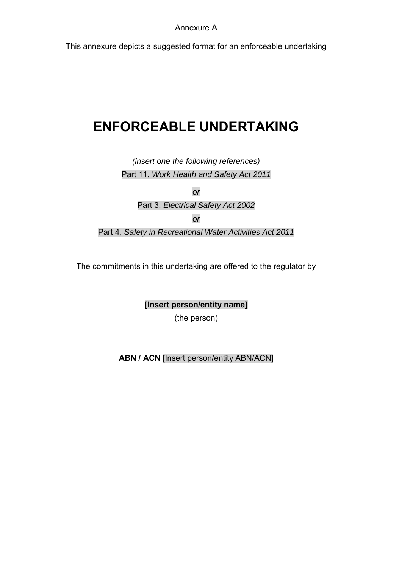This annexure depicts a suggested format for an enforceable undertaking

# **ENFORCEABLE UNDERTAKING**

*(insert one the following references)*  Part 11, *Work Health and Safety Act 2011* 

*or*

Part 3, *Electrical Safety Act 2002* 

*or*

Part 4*, Safety in Recreational Water Activities Act 2011*

The commitments in this undertaking are offered to the regulator by

**[Insert person/entity name]**

(the person)

**ABN / ACN** [Insert person/entity ABN/ACN]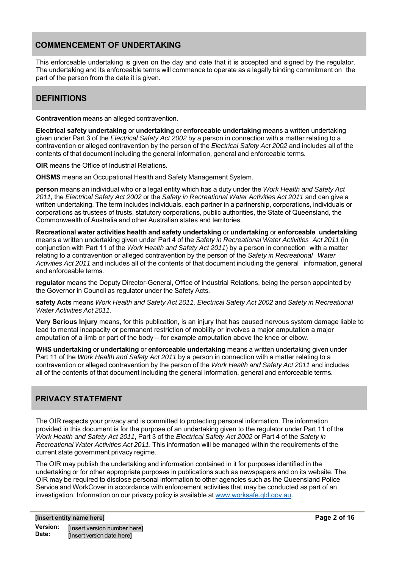## **COMMENCEMENT OF UNDERTAKING**

This enforceable undertaking is given on the day and date that it is accepted and signed by the regulator. The undertaking and its enforceable terms will commence to operate as a legally binding commitment on the part of the person from the date it is given.

## **DEFINITIONS**

**Contravention** means an alleged contravention.

**Electrical safety undertaking** or **undertaking** or **enforceable undertaking** means a written undertaking given under Part 3 of the *Electrical Safety Act 2002* by a person in connection with a matter relating to a contravention or alleged contravention by the person of the *Electrical Safety Act 2002* and includes all of the contents of that document including the general information, general and enforceable terms*.*

**OIR** means the Office of Industrial Relations.

**OHSMS** means an Occupational Health and Safety Management System.

**person** means an individual who or a legal entity which has a duty under the *Work Health and Safety Act 2011,* the *Electrical Safety Act 2002* or the *Safety in Recreational Water Activities Act 2011* and can give a written undertaking. The term includes individuals, each partner in a partnership, corporations, individuals or corporations as trustees of trusts, statutory corporations, public authorities, the State of Queensland, the Commonwealth of Australia and other Australian states and territories.

**Recreational water activities health and safety undertaking** or **undertaking** or **enforceable undertaking**  means a written undertaking given under Part 4 of the *Safety in Recreational Water Activities Act 2011* (in conjunction with Part 11 of the *Work Health and Safety Act 2011*) by a person in connection with a matter relating to a contravention or alleged contravention by the person of the *Safety in Recreational Water Activities Act 2011* and includes all of the contents of that document including the general information, general and enforceable terms*.*

**regulator** means the Deputy Director-General, Office of Industrial Relations, being the person appointed by the Governor in Council as regulator under the Safety Acts*.*

**safety Acts** means *Work Health and Safety Act 2011, Electrical Safety Act 2002* and *Safety in Recreational Water Activities Act 2011.* 

**Very Serious Injury** means, for this publication, is an injury that has caused nervous system damage liable to lead to mental incapacity or permanent restriction of mobility or involves a major amputation a major amputation of a limb or part of the body – for example amputation above the knee or elbow.

**WHS undertaking** or **undertaking** or **enforceable undertaking** means a written undertaking given under Part 11 of the *Work Health and Safety Act 2011* by a person in connection with a matter relating to a contravention or alleged contravention by the person of the *Work Health and Safety Act 2011* and includes all of the contents of that document including the general information, general and enforceable terms*.*

## **PRIVACY STATEMENT**

The OIR respects your privacy and is committed to protecting personal information. The information provided in this document is for the purpose of an undertaking given to the regulator under Part 11 of the *Work Health and Safety Act 2011*, Part 3 of the *Electrical Safety Act 2002* or Part 4 of the *Safety in Recreational Water Activities Act 2011*. This information will be managed within the requirements of the current state government privacy regime.

The OIR may publish the undertaking and information contained in it for purposes identified in the undertaking or for other appropriate purposes in publications such as newspapers and on its website. The OIR may be required to disclose personal information to other agencies such as the Queensland Police Service and WorkCover in accordance with enforcement activities that may be conducted as part of an investigation. Information on our privacy policy is available at www.worksafe.qld.gov.au.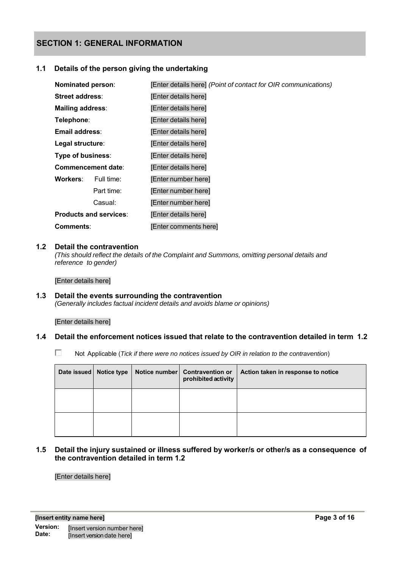### **SECTION 1: GENERAL INFORMATION**

#### **1.1 Details of the person giving the undertaking**

| Nominated person:             |            | [Enter details here] (Point of contact for OIR communications) |
|-------------------------------|------------|----------------------------------------------------------------|
| Street address:               |            | [Enter details here]                                           |
| Mailing address:              |            | [Enter details here]                                           |
| Telephone:                    |            | [Enter details here]                                           |
| Email address:                |            | [Enter details here]                                           |
| Legal structure:              |            | [Enter details here]                                           |
| Type of business:             |            | [Enter details here]                                           |
| <b>Commencement date:</b>     |            | [Enter details here]                                           |
| <b>Workers:</b>               | Full time: | [Enter number here]                                            |
|                               | Part time: | [Enter number here]                                            |
| Casual:                       |            | [Enter number here]                                            |
| <b>Products and services:</b> |            | [Enter details here]                                           |
| Comments:                     |            | [Enter comments here]                                          |

#### **1.2 Detail the contravention**

*(This should reflect the details of the Complaint and Summons, omitting personal details and reference to gender)* 

[Enter details here]

#### **1.3 Detail the events surrounding the contravention** *(Generally includes factual incident details and avoids blame or opinions)*

[Enter details here]

#### **1.4 Detail the enforcement notices issued that relate to the contravention detailed in term 1.2**

Not Applicable (*Tick if there were no notices issued by OIR in relation to the contravention*)

| Date issued   Notice type | Notice number   Contravention or<br>prohibited activity | Action taken in response to notice |
|---------------------------|---------------------------------------------------------|------------------------------------|
|                           |                                                         |                                    |
|                           |                                                         |                                    |

**1.5 Detail the injury sustained or illness suffered by worker/s or other/s as a consequence of the contravention detailed in term 1.2**

[Enter details here]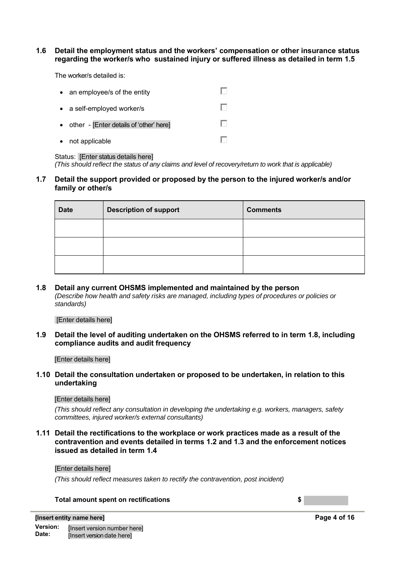#### **1.6 Detail the employment status and the workers' compensation or other insurance status regarding the worker/s who sustained injury or suffered illness as detailed in term 1.5**

The worker/s detailed is:

| $\bullet$ | an employee/s of the entity             |      |
|-----------|-----------------------------------------|------|
|           | • a self-employed worker/s              |      |
| $\bullet$ | other - [Enter details of 'other' here] | l st |
| $\bullet$ | not applicable                          |      |

#### Status: [Enter status details here]

*(This should reflect the status of any claims and level of recovery/return to work that is applicable)*

#### **1.7 Detail the support provided or proposed by the person to the injured worker/s and/or family or other/s**

| <b>Date</b> | <b>Description of support</b> | <b>Comments</b> |
|-------------|-------------------------------|-----------------|
|             |                               |                 |
|             |                               |                 |
|             |                               |                 |

#### **1.8 Detail any current OHSMS implemented and maintained by the person**  *(Describe how health and safety risks are managed, including types of procedures or policies or*

*standards)*

#### [Enter details here]

#### **1.9 Detail the level of auditing undertaken on the OHSMS referred to in term 1.8, including compliance audits and audit frequency**

#### [Enter details here]

#### **1.10 Detail the consultation undertaken or proposed to be undertaken, in relation to this undertaking**

#### [Enter details here]

*(This should reflect any consultation in developing the undertaking e.g. workers, managers, safety committees, injured worker/s external consultants)* 

**1.11 Detail the rectifications to the workplace or work practices made as a result of the contravention and events detailed in terms 1.2 and 1.3 and the enforcement notices issued as detailed in term 1.4**

#### [Enter details here]

*(This should reflect measures taken to rectify the contravention, post incident)* 

#### **Total amount spent on rectifications \$**

**Page 4 of 16**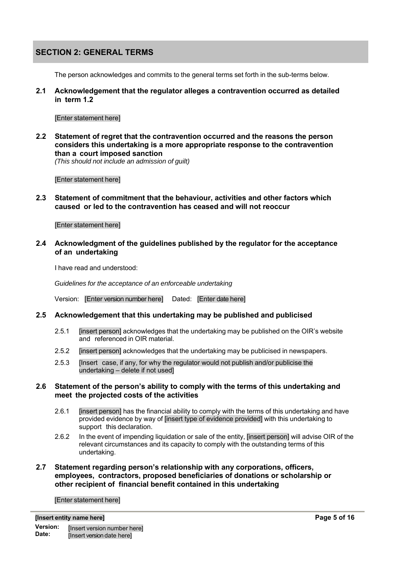## **SECTION 2: GENERAL TERMS**

The person acknowledges and commits to the general terms set forth in the sub-terms below.

**2.1 Acknowledgement that the regulator alleges a contravention occurred as detailed in term 1.2**

#### [Enter statement here]

**2.2 Statement of regret that the contravention occurred and the reasons the person considers this undertaking is a more appropriate response to the contravention than a court imposed sanction**

*(This should not include an admission of guilt)*

[Enter statement here]

**2.3 Statement of commitment that the behaviour, activities and other factors which caused or led to the contravention has ceased and will not reoccur**

#### [Enter statement here]

**2.4 Acknowledgment of the guidelines published by the regulator for the acceptance of an undertaking**

I have read and understood:

*Guidelines for the acceptance of an enforceable undertaking* 

Version: [Enter version number here] Dated: [Enter date here]

#### **2.5 Acknowledgement that this undertaking may be published and publicised**

- 2.5.1 [insert person] acknowledges that the undertaking may be published on the OIR's website and referenced in OIR material.
- 2.5.2 [insert person] acknowledges that the undertaking may be publicised in newspapers.
- 2.5.3 [Insert case, if any, for why the regulator would not publish and/or publicise the undertaking – delete if not used]

#### **2.6 Statement of the person's ability to comply with the terms of this undertaking and meet the projected costs of the activities**

- 2.6.1 [insert person] has the financial ability to comply with the terms of this undertaking and have provided evidence by way of [insert type of evidence provided] with this undertaking to support this declaration.
- 2.6.2 In the event of impending liquidation or sale of the entity, [insert person] will advise OIR of the relevant circumstances and its capacity to comply with the outstanding terms of this undertaking.
- **2.7 Statement regarding person's relationship with any corporations, officers, employees, contractors, proposed beneficiaries of donations or scholarship or other recipient of financial benefit contained in this undertaking**

[Enter statement here]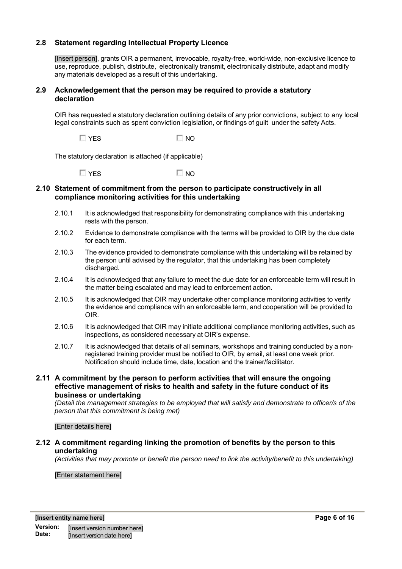#### **2.8 Statement regarding Intellectual Property Licence**

[Insert person], grants OIR a permanent, irrevocable, royalty-free, world-wide, non-exclusive licence to use, reproduce, publish, distribute, electronically transmit, electronically distribute, adapt and modify any materials developed as a result of this undertaking.

#### **2.9 Acknowledgement that the person may be required to provide a statutory declaration**

OIR has requested a statutory declaration outlining details of any prior convictions, subject to any local legal constraints such as spent conviction legislation, or findings of guilt under the safety Acts.

 $\Box$  YES  $\Box$  NO

The statutory declaration is attached (if applicable)

 $\Box$  YES  $\Box$  NO

#### **2.10 Statement of commitment from the person to participate constructively in all compliance monitoring activities for this undertaking**

- 2.10.1 It is acknowledged that responsibility for demonstrating compliance with this undertaking rests with the person.
- 2.10.2 Evidence to demonstrate compliance with the terms will be provided to OIR by the due date for each term.
- 2.10.3 The evidence provided to demonstrate compliance with this undertaking will be retained by the person until advised by the regulator, that this undertaking has been completely discharged.
- 2.10.4 It is acknowledged that any failure to meet the due date for an enforceable term will result in the matter being escalated and may lead to enforcement action.
- 2.10.5 It is acknowledged that OIR may undertake other compliance monitoring activities to verify the evidence and compliance with an enforceable term, and cooperation will be provided to OIR.
- 2.10.6 It is acknowledged that OIR may initiate additional compliance monitoring activities, such as inspections, as considered necessary at OIR's expense.
- 2.10.7 It is acknowledged that details of all seminars, workshops and training conducted by a nonregistered training provider must be notified to OIR, by email, at least one week prior. Notification should include time, date, location and the trainer/facilitator.
- **2.11 A commitment by the person to perform activities that will ensure the ongoing effective management of risks to health and safety in the future conduct of its business or undertaking**

*(Detail the management strategies to be employed that will satisfy and demonstrate to officer/s of the person that this commitment is being met)* 

#### [Enter details here]

#### **2.12 A commitment regarding linking the promotion of benefits by the person to this undertaking**

*(Activities that may promote or benefit the person need to link the activity/benefit to this undertaking)* 

[Enter statement here]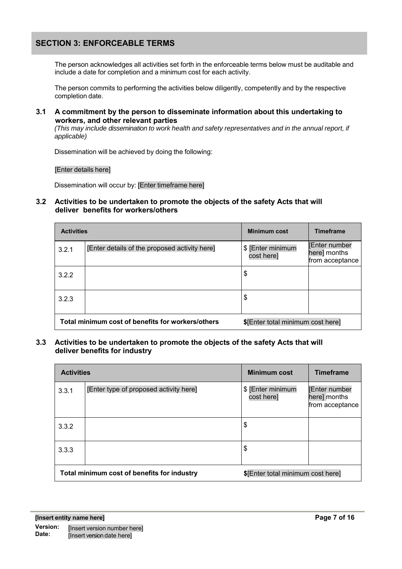## **SECTION 3: ENFORCEABLE TERMS**

The person acknowledges all activities set forth in the enforceable terms below must be auditable and include a date for completion and a minimum cost for each activity.

The person commits to performing the activities below diligently, competently and by the respective completion date.

**3.1 A commitment by the person to disseminate information about this undertaking to workers, and other relevant parties**

*(This may include dissemination to work health and safety representatives and in the annual report, if applicable)* 

Dissemination will be achieved by doing the following:

[Enter details here]

Dissemination will occur by: [Enter timeframe here]

#### **3.2 Activities to be undertaken to promote the objects of the safety Acts that will deliver benefits for workers/others**

| <b>Activities</b>                                 |                                               | <b>Minimum cost</b>               | <b>Timeframe</b>                                       |
|---------------------------------------------------|-----------------------------------------------|-----------------------------------|--------------------------------------------------------|
| 3.2.1                                             | [Enter details of the proposed activity here] | \$ [Enter minimum<br>cost here]   | <b>Enter number</b><br>here] months<br>from acceptance |
| 3.2.2                                             |                                               | \$                                |                                                        |
| 3.2.3                                             |                                               | \$                                |                                                        |
| Total minimum cost of benefits for workers/others |                                               | \$[Enter total minimum cost here] |                                                        |

#### **3.3 Activities to be undertaken to promote the objects of the safety Acts that will deliver benefits for industry**

| <b>Activities</b>                           |                                        | <b>Minimum cost</b>               | <b>Timeframe</b>                                       |
|---------------------------------------------|----------------------------------------|-----------------------------------|--------------------------------------------------------|
| 3.3.1                                       | [Enter type of proposed activity here] | \$ [Enter minimum<br>cost here]   | <b>Enter number</b><br>here] months<br>from acceptance |
| 3.3.2                                       |                                        | \$                                |                                                        |
| 3.3.3                                       |                                        | \$                                |                                                        |
| Total minimum cost of benefits for industry |                                        | \$[Enter total minimum cost here] |                                                        |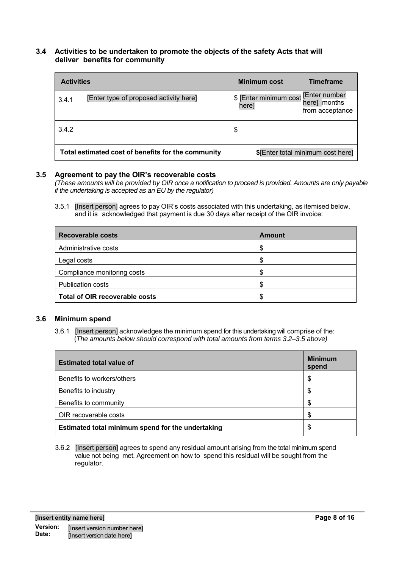#### **3.4 Activities to be undertaken to promote the objects of the safety Acts that will deliver benefits for community**

| <b>Activities</b> |                                                    | <b>Minimum cost</b>             | <b>Timeframe</b>                                       |
|-------------------|----------------------------------------------------|---------------------------------|--------------------------------------------------------|
| 3.4.1             | [Enter type of proposed activity here]             | \$ [Enter minimum cost<br>here] | <b>Enter number</b><br>here] months<br>from acceptance |
| 3.4.2             |                                                    | \$                              |                                                        |
|                   | Total estimated cost of benefits for the community |                                 | \$[Enter total minimum cost here]                      |

#### **3.5 Agreement to pay the OIR's recoverable costs**

*(These amounts will be provided by OIR once a notification to proceed is provided. Amounts are only payable if the undertaking is accepted as an EU by the regulator)*

3.5.1 [Insert person] agrees to pay OIR's costs associated with this undertaking, as itemised below, and it is acknowledged that payment is due 30 days after receipt of the OIR invoice:

| <b>Recoverable costs</b>              | <b>Amount</b> |
|---------------------------------------|---------------|
| Administrative costs                  | S             |
| Legal costs                           | S             |
| Compliance monitoring costs           | S             |
| <b>Publication costs</b>              | S             |
| <b>Total of OIR recoverable costs</b> | S             |

#### **3.6 Minimum spend**

3.6.1 [Insert person] acknowledges the minimum spend for this undertaking will comprise of the: (*The amounts below should correspond with total amounts from terms 3.2–3.5 above)*

| <b>Estimated total value of</b>                   | <b>Minimum</b><br>spend |
|---------------------------------------------------|-------------------------|
| Benefits to workers/others                        | S                       |
| Benefits to industry                              | S                       |
| Benefits to community                             |                         |
| OIR recoverable costs                             | S                       |
| Estimated total minimum spend for the undertaking | \$                      |

 3.6.2 [Insert person] agrees to spend any residual amount arising from the total minimum spend value not being met. Agreement on how to spend this residual will be sought from the regulator.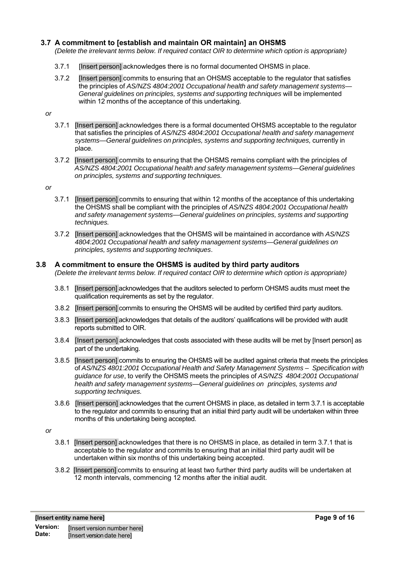#### **3.7 A commitment to [establish and maintain OR maintain] an OHSMS**

*(Delete the irrelevant terms below. If required contact OIR to determine which option is appropriate)* 

- 3.7.1 [Insert person] acknowledges there is no formal documented OHSMS in place.
- 3.7.2 [Insert person] commits to ensuring that an OHSMS acceptable to the regulator that satisfies the principles of *AS/NZS 4804:2001 Occupational health and safety management systems— General guidelines on principles, systems and supporting techniques* will be implemented within 12 months of the acceptance of this undertaking.

#### *or*

- 3.7.1 [Insert person] acknowledges there is a formal documented OHSMS acceptable to the regulator that satisfies the principles of *AS/NZS 4804:2001 Occupational health and safety management systems—General guidelines on principles, systems and supporting techniques,* currently in place.
- 3.7.2 [Insert person] commits to ensuring that the OHSMS remains compliant with the principles of *AS/NZS 4804:2001 Occupational health and safety management systems—General guidelines on principles, systems and supporting techniques.*

#### *or*

- 3.7.1 [Insert person] commits to ensuring that within 12 months of the acceptance of this undertaking the OHSMS shall be compliant with the principles of *AS/NZS 4804:2001 Occupational health and safety management systems—General guidelines on principles, systems and supporting techniques.*
- 3.7.2 [Insert person] acknowledges that the OHSMS will be maintained in accordance with *AS/NZS 4804:2001 Occupational health and safety management systems—General guidelines on principles, systems and supporting techniques*.

### **3.8 A commitment to ensure the OHSMS is audited by third party auditors**

*(Delete the irrelevant terms below. If required contact OIR to determine which option is appropriate)* 

- 3.8.1 [Insert person] acknowledges that the auditors selected to perform OHSMS audits must meet the qualification requirements as set by the regulator.
- 3.8.2 [Insert person] commits to ensuring the OHSMS will be audited by certified third party auditors.
- 3.8.3 [Insert person] acknowledges that details of the auditors' qualifications will be provided with audit reports submitted to OIR.
- 3.8.4 [Insert person] acknowledges that costs associated with these audits will be met by [Insert person] as part of the undertaking.
- 3.8.5 [Insert person] commits to ensuring the OHSMS will be audited against criteria that meets the principles of *AS/NZS 4801:2001 Occupational Health and Safety Management Systems – Specification with guidance for use*, to verify the OHSMS meets the principles of *AS/NZS 4804:2001 Occupational health and safety management systems—General guidelines on principles, systems and supporting techniques.*
- 3.8.6 [Insert person] acknowledges that the current OHSMS in place, as detailed in term 3.7.1 is acceptable to the regulator and commits to ensuring that an initial third party audit will be undertaken within three months of this undertaking being accepted.

#### *or*

- 3.8.1 [Insert person] acknowledges that there is no OHSMS in place, as detailed in term 3.7.1 that is acceptable to the regulator and commits to ensuring that an initial third party audit will be undertaken within six months of this undertaking being accepted.
- 3.8.2 [Insert person] commits to ensuring at least two further third party audits will be undertaken at 12 month intervals, commencing 12 months after the initial audit.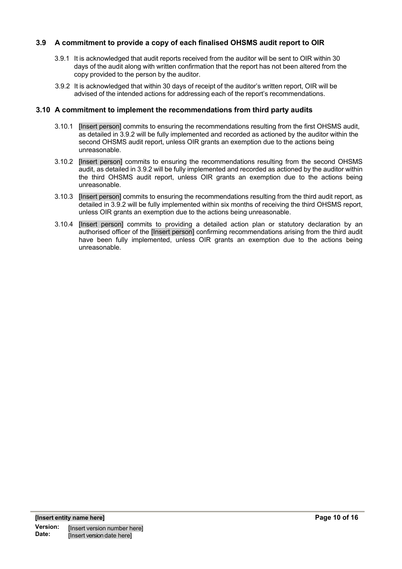#### **3.9 A commitment to provide a copy of each finalised OHSMS audit report to OIR**

- 3.9.1 It is acknowledged that audit reports received from the auditor will be sent to OIR within 30 days of the audit along with written confirmation that the report has not been altered from the copy provided to the person by the auditor.
- 3.9.2 It is acknowledged that within 30 days of receipt of the auditor's written report, OIR will be advised of the intended actions for addressing each of the report's recommendations.

#### **3.10 A commitment to implement the recommendations from third party audits**

- 3.10.1 [Insert person] commits to ensuring the recommendations resulting from the first OHSMS audit, as detailed in 3.9.2 will be fully implemented and recorded as actioned by the auditor within the second OHSMS audit report, unless OIR grants an exemption due to the actions being unreasonable.
- 3.10.2 [Insert person] commits to ensuring the recommendations resulting from the second OHSMS audit, as detailed in 3.9.2 will be fully implemented and recorded as actioned by the auditor within the third OHSMS audit report, unless OIR grants an exemption due to the actions being unreasonable.
- 3.10.3 [Insert person] commits to ensuring the recommendations resulting from the third audit report, as detailed in 3.9.2 will be fully implemented within six months of receiving the third OHSMS report, unless OIR grants an exemption due to the actions being unreasonable.
- 3.10.4 [Insert person] commits to providing a detailed action plan or statutory declaration by an authorised officer of the [Insert person] confirming recommendations arising from the third audit have been fully implemented, unless OIR grants an exemption due to the actions being unreasonable.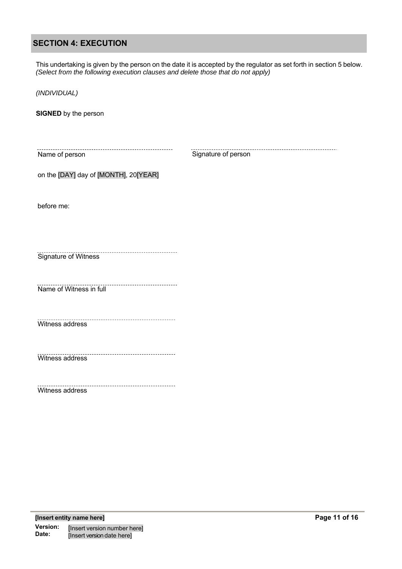## **SECTION 4: EXECUTION**

This undertaking is given by the person on the date it is accepted by the regulator as set forth in section 5 below. *(Select from the following execution clauses and delete those that do not apply)*

*(INDIVIDUAL)*

**SIGNED** by the person

Name of person

Signature of person

on the [DAY] day of [MONTH], 20[YEAR]

before me:

Signature of Witness

Name of Witness in full

Witness address

Witness address

Witness address

\_\_\_\_\_\_\_\_\_\_\_\_\_\_\_\_\_\_\_\_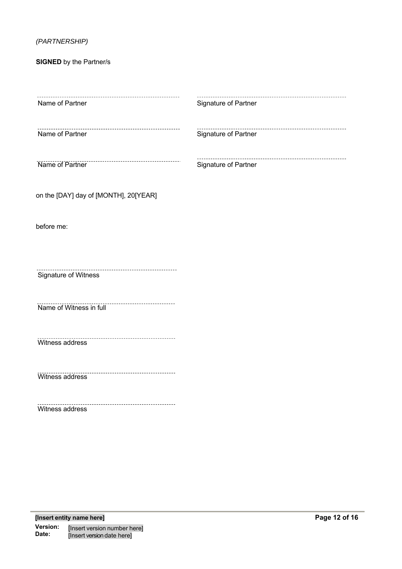## *(PARTNERSHIP)*

**SIGNED** by the Partner/s

| .                                                         |                                                          |
|-----------------------------------------------------------|----------------------------------------------------------|
| Name of Partner                                           | Signature of Partner                                     |
| Name of Partner                                           | ________________________________<br>Signature of Partner |
| -------------------------------------<br>Name of Partner  | <br>Signature of Partner                                 |
| on the [DAY] day of [MONTH], 20[YEAR]                     |                                                          |
| before me:                                                |                                                          |
|                                                           |                                                          |
| Signature of Witness                                      |                                                          |
| <br>Name of Witness in full                               |                                                          |
| ----------------------------------<br>Witness address     |                                                          |
| Witness address                                           |                                                          |
| --------------------------------------<br>Witness address |                                                          |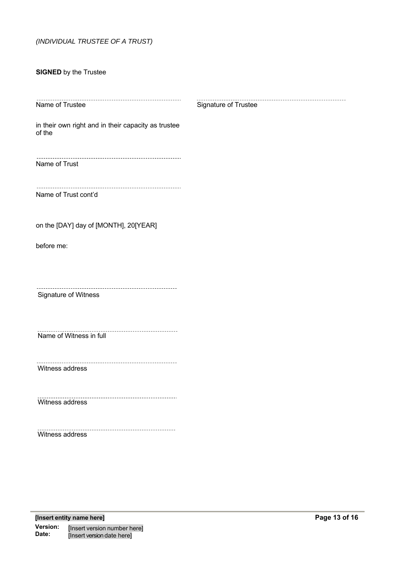#### *(INDIVIDUAL TRUSTEE OF A TRUST)*

#### **SIGNED** by the Trustee

------Name of Trustee

Signature of Trustee

in their own right and in their capacity as trustee of the

Name of Trust

Name of Trust cont'd

on the [DAY] day of [MONTH], 20[YEAR]

before me:

Signature of Witness

. . . . . . . . . . . . . . . . . . . . . Name of Witness in full

Witness address

<u>. . . . . . . . . .</u> Witness address

Witness address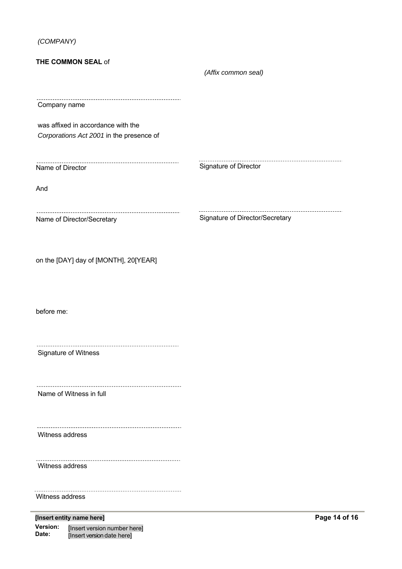*(COMPANY)*

| <b>THE COMMON SEAL of</b>                                                      |                                 |         |
|--------------------------------------------------------------------------------|---------------------------------|---------|
|                                                                                | (Affix common seal)             |         |
| Company name                                                                   |                                 |         |
| was affixed in accordance with the<br>Corporations Act 2001 in the presence of |                                 |         |
| Name of Director                                                               | Signature of Director           |         |
| And                                                                            |                                 |         |
| Name of Director/Secretary                                                     | Signature of Director/Secretary |         |
| on the [DAY] day of [MONTH], 20[YEAR]                                          |                                 |         |
| before me:                                                                     |                                 |         |
| Signature of Witness                                                           |                                 |         |
| Name of Witness in full                                                        |                                 |         |
| Witness address                                                                |                                 |         |
| Witness address                                                                |                                 |         |
| Witness address                                                                |                                 |         |
| [Insert entity name here]                                                      |                                 | Page 14 |

**Version: Date:** [Insert version number here] [Insert version date here]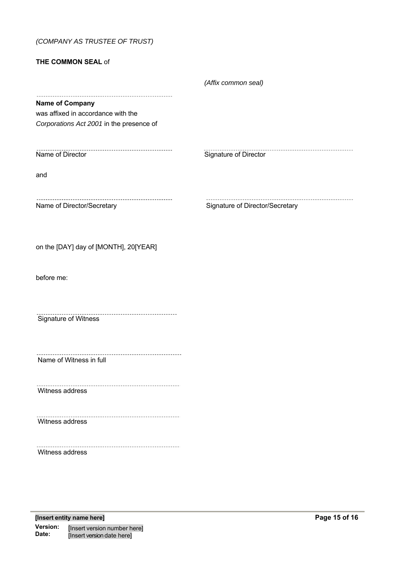## *(COMPANY AS TRUSTEE OF TRUST)*

#### **THE COMMON SEAL** of

|                                                                                                          | (Affix common seal)             |
|----------------------------------------------------------------------------------------------------------|---------------------------------|
| <b>Name of Company</b><br>was affixed in accordance with the<br>Corporations Act 2001 in the presence of |                                 |
| Name of Director                                                                                         | Signature of Director           |
| and                                                                                                      |                                 |
| Name of Director/Secretary                                                                               | Signature of Director/Secretary |
| on the [DAY] day of [MONTH], 20[YEAR]                                                                    |                                 |
| before me:                                                                                               |                                 |
| <br>Signature of Witness                                                                                 |                                 |
| Name of Witness in full                                                                                  |                                 |
| Witness address                                                                                          |                                 |
| Witness address                                                                                          |                                 |
| Witness address                                                                                          |                                 |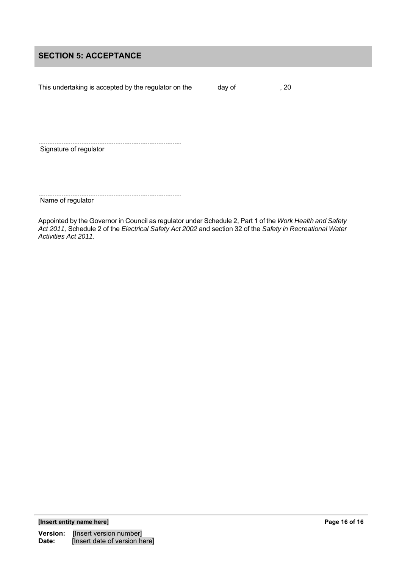## **SECTION 5: ACCEPTANCE**

This undertaking is accepted by the regulator on the day of , 20

Signature of regulator

Name of regulator

Appointed by the Governor in Council as regulator under Schedule 2, Part 1 of the *Work Health and Safety Act 2011,* Schedule 2 of the *Electrical Safety Act 2002* and section 32 of the *Safety in Recreational Water Activities Act 2011.*